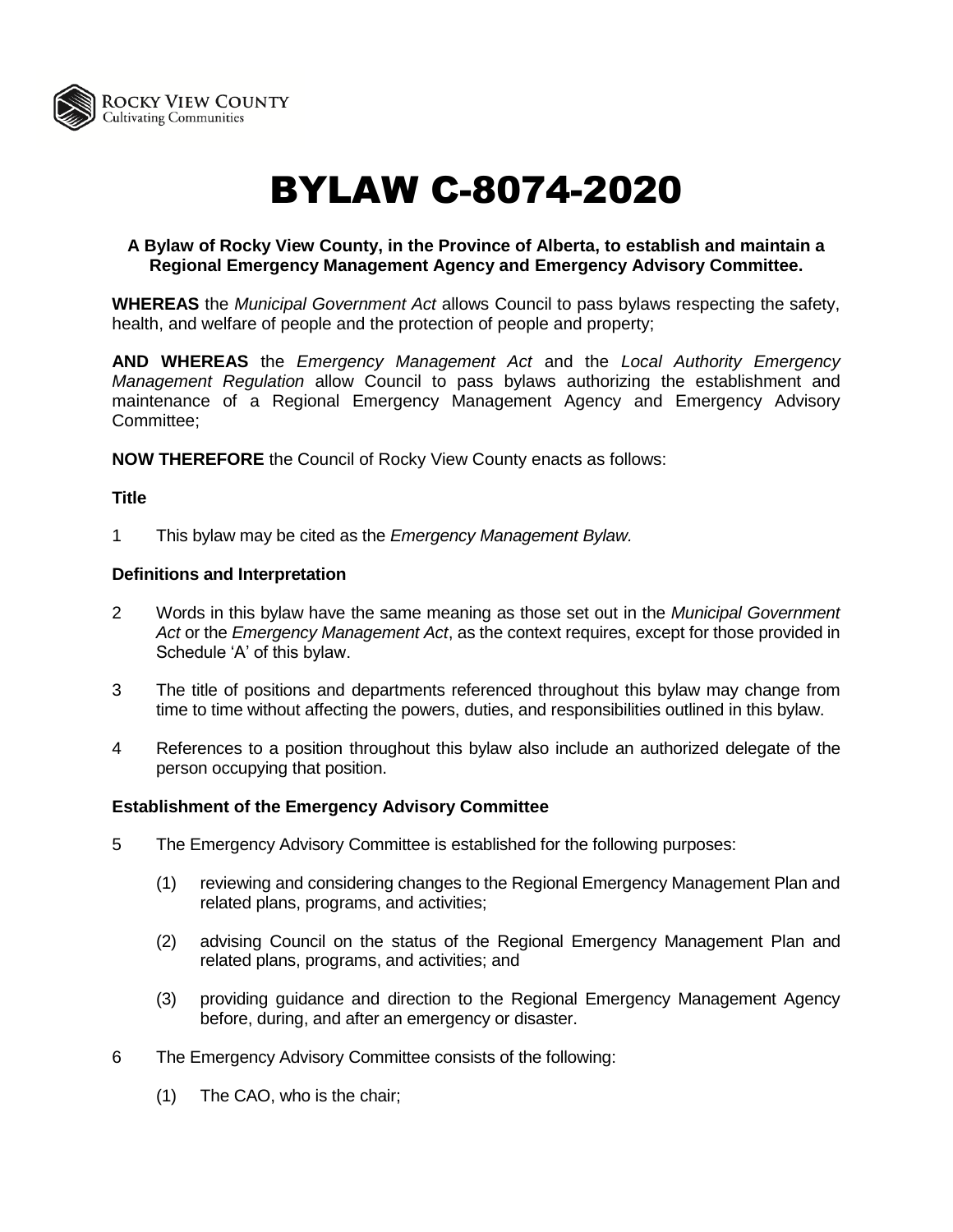

# BYLAW C-8074-2020

## **A Bylaw of Rocky View County, in the Province of Alberta, to establish and maintain a Regional Emergency Management Agency and Emergency Advisory Committee.**

**WHEREAS** the *Municipal Government Act* allows Council to pass bylaws respecting the safety, health, and welfare of people and the protection of people and property;

**AND WHEREAS** the *Emergency Management Act* and the *Local Authority Emergency Management Regulation* allow Council to pass bylaws authorizing the establishment and maintenance of a Regional Emergency Management Agency and Emergency Advisory Committee;

**NOW THEREFORE** the Council of Rocky View County enacts as follows:

#### **Title**

1 This bylaw may be cited as the *Emergency Management Bylaw.*

#### **Definitions and Interpretation**

- 2 Words in this bylaw have the same meaning as those set out in the *Municipal Government Act* or the *Emergency Management Act*, as the context requires, except for those provided in Schedule 'A' of this bylaw.
- 3 The title of positions and departments referenced throughout this bylaw may change from time to time without affecting the powers, duties, and responsibilities outlined in this bylaw.
- 4 References to a position throughout this bylaw also include an authorized delegate of the person occupying that position.

#### **Establishment of the Emergency Advisory Committee**

- 5 The Emergency Advisory Committee is established for the following purposes:
	- (1) reviewing and considering changes to the Regional Emergency Management Plan and related plans, programs, and activities;
	- (2) advising Council on the status of the Regional Emergency Management Plan and related plans, programs, and activities; and
	- (3) providing guidance and direction to the Regional Emergency Management Agency before, during, and after an emergency or disaster.
- 6 The Emergency Advisory Committee consists of the following:
	- (1) The CAO, who is the chair;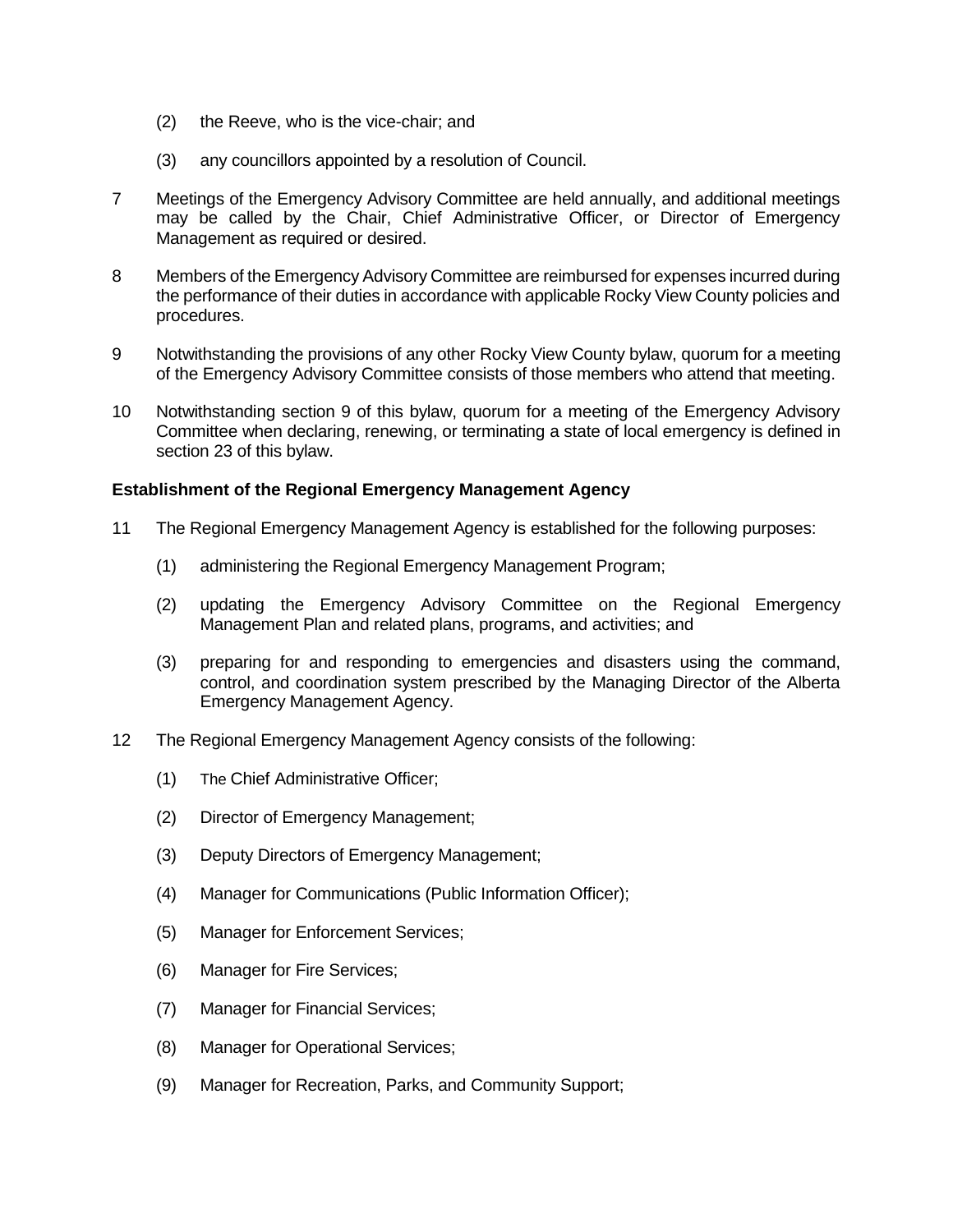- (2) the Reeve, who is the vice-chair; and
- (3) any councillors appointed by a resolution of Council.
- 7 Meetings of the Emergency Advisory Committee are held annually, and additional meetings may be called by the Chair, Chief Administrative Officer, or Director of Emergency Management as required or desired.
- 8 Members of the Emergency Advisory Committee are reimbursed for expenses incurred during the performance of their duties in accordance with applicable Rocky View County policies and procedures.
- 9 Notwithstanding the provisions of any other Rocky View County bylaw, quorum for a meeting of the Emergency Advisory Committee consists of those members who attend that meeting.
- 10 Notwithstanding section 9 of this bylaw, quorum for a meeting of the Emergency Advisory Committee when declaring, renewing, or terminating a state of local emergency is defined in section 23 of this bylaw.

#### **Establishment of the Regional Emergency Management Agency**

- 11 The Regional Emergency Management Agency is established for the following purposes:
	- (1) administering the Regional Emergency Management Program;
	- (2) updating the Emergency Advisory Committee on the Regional Emergency Management Plan and related plans, programs, and activities; and
	- (3) preparing for and responding to emergencies and disasters using the command, control, and coordination system prescribed by the Managing Director of the Alberta Emergency Management Agency.
- 12 The Regional Emergency Management Agency consists of the following:
	- (1) The Chief Administrative Officer;
	- (2) Director of Emergency Management;
	- (3) Deputy Directors of Emergency Management;
	- (4) Manager for Communications (Public Information Officer);
	- (5) Manager for Enforcement Services;
	- (6) Manager for Fire Services;
	- (7) Manager for Financial Services;
	- (8) Manager for Operational Services;
	- (9) Manager for Recreation, Parks, and Community Support;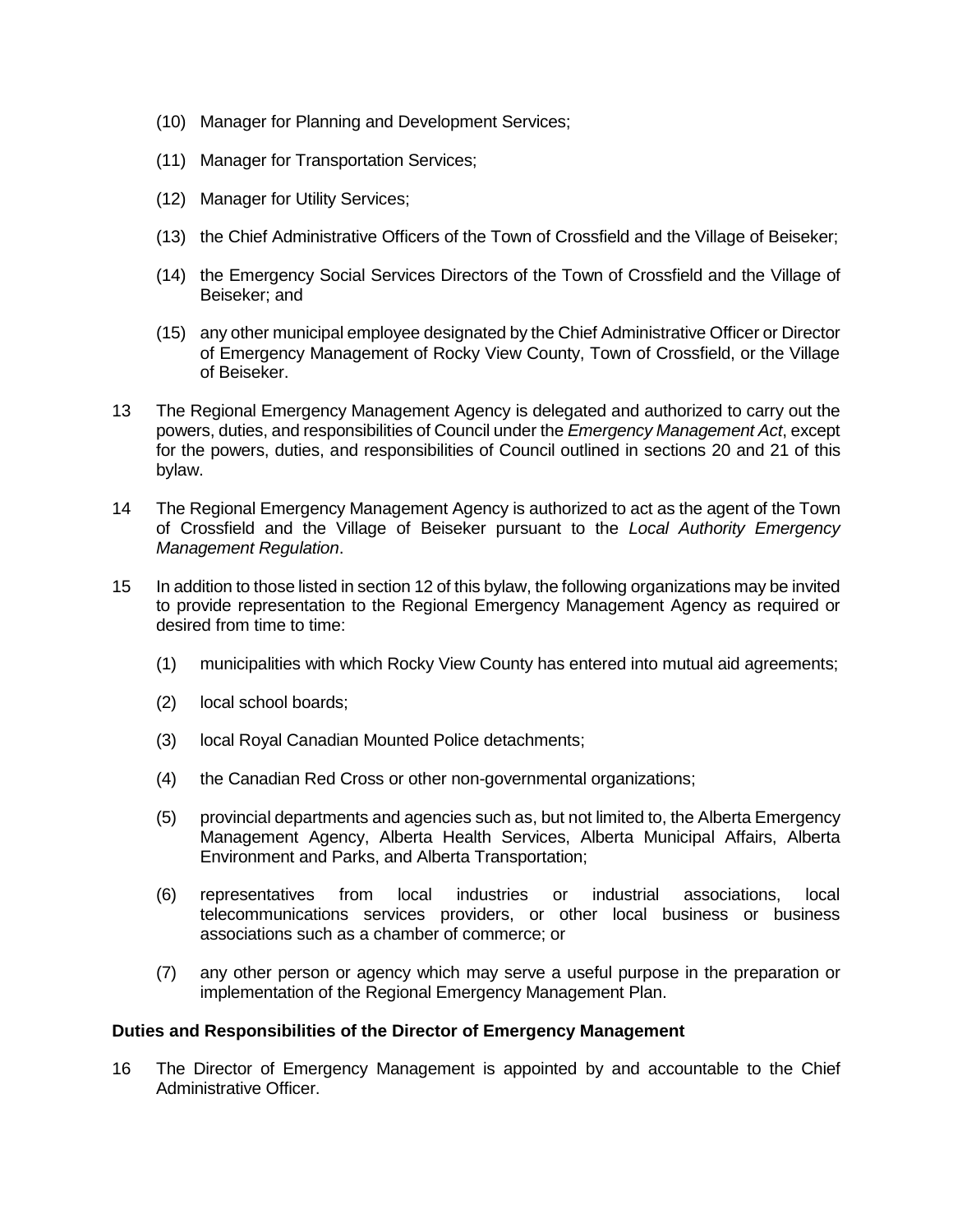- (10) Manager for Planning and Development Services;
- (11) Manager for Transportation Services;
- (12) Manager for Utility Services;
- (13) the Chief Administrative Officers of the Town of Crossfield and the Village of Beiseker;
- (14) the Emergency Social Services Directors of the Town of Crossfield and the Village of Beiseker; and
- (15) any other municipal employee designated by the Chief Administrative Officer or Director of Emergency Management of Rocky View County, Town of Crossfield, or the Village of Beiseker.
- 13 The Regional Emergency Management Agency is delegated and authorized to carry out the powers, duties, and responsibilities of Council under the *Emergency Management Act*, except for the powers, duties, and responsibilities of Council outlined in sections 20 and 21 of this bylaw.
- 14 The Regional Emergency Management Agency is authorized to act as the agent of the Town of Crossfield and the Village of Beiseker pursuant to the *Local Authority Emergency Management Regulation*.
- 15 In addition to those listed in section 12 of this bylaw, the following organizations may be invited to provide representation to the Regional Emergency Management Agency as required or desired from time to time:
	- (1) municipalities with which Rocky View County has entered into mutual aid agreements;
	- (2) local school boards;
	- (3) local Royal Canadian Mounted Police detachments;
	- (4) the Canadian Red Cross or other non-governmental organizations;
	- (5) provincial departments and agencies such as, but not limited to, the Alberta Emergency Management Agency, Alberta Health Services, Alberta Municipal Affairs, Alberta Environment and Parks, and Alberta Transportation;
	- (6) representatives from local industries or industrial associations, local telecommunications services providers, or other local business or business associations such as a chamber of commerce; or
	- (7) any other person or agency which may serve a useful purpose in the preparation or implementation of the Regional Emergency Management Plan.

#### **Duties and Responsibilities of the Director of Emergency Management**

16 The Director of Emergency Management is appointed by and accountable to the Chief Administrative Officer.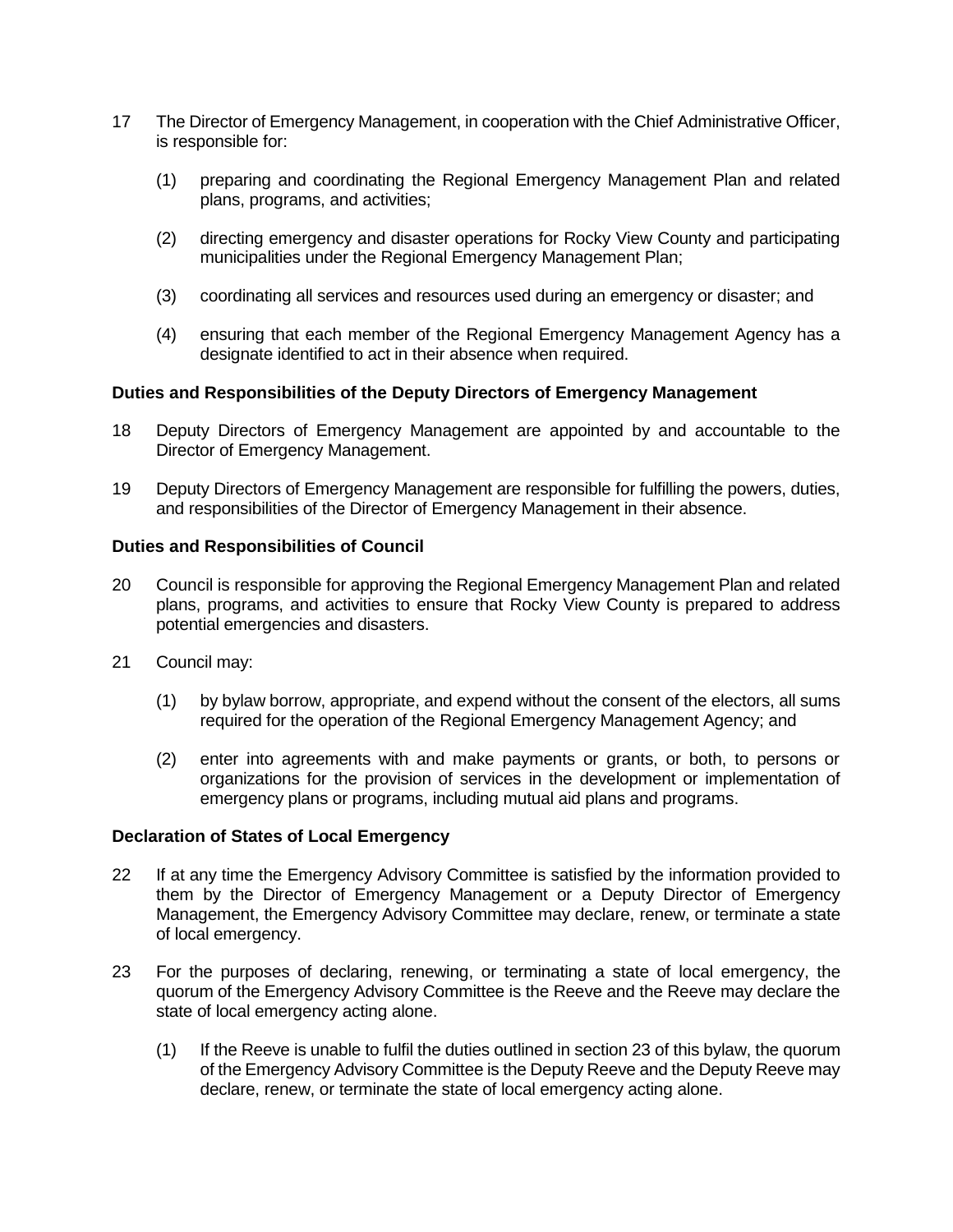- 17 The Director of Emergency Management, in cooperation with the Chief Administrative Officer, is responsible for:
	- (1) preparing and coordinating the Regional Emergency Management Plan and related plans, programs, and activities;
	- (2) directing emergency and disaster operations for Rocky View County and participating municipalities under the Regional Emergency Management Plan;
	- (3) coordinating all services and resources used during an emergency or disaster; and
	- (4) ensuring that each member of the Regional Emergency Management Agency has a designate identified to act in their absence when required.

### **Duties and Responsibilities of the Deputy Directors of Emergency Management**

- 18 Deputy Directors of Emergency Management are appointed by and accountable to the Director of Emergency Management.
- 19 Deputy Directors of Emergency Management are responsible for fulfilling the powers, duties, and responsibilities of the Director of Emergency Management in their absence.

#### **Duties and Responsibilities of Council**

- 20 Council is responsible for approving the Regional Emergency Management Plan and related plans, programs, and activities to ensure that Rocky View County is prepared to address potential emergencies and disasters.
- 21 Council may:
	- (1) by bylaw borrow, appropriate, and expend without the consent of the electors, all sums required for the operation of the Regional Emergency Management Agency; and
	- (2) enter into agreements with and make payments or grants, or both, to persons or organizations for the provision of services in the development or implementation of emergency plans or programs, including mutual aid plans and programs.

#### **Declaration of States of Local Emergency**

- 22 If at any time the Emergency Advisory Committee is satisfied by the information provided to them by the Director of Emergency Management or a Deputy Director of Emergency Management, the Emergency Advisory Committee may declare, renew, or terminate a state of local emergency.
- 23 For the purposes of declaring, renewing, or terminating a state of local emergency, the quorum of the Emergency Advisory Committee is the Reeve and the Reeve may declare the state of local emergency acting alone.
	- (1) If the Reeve is unable to fulfil the duties outlined in section 23 of this bylaw, the quorum of the Emergency Advisory Committee is the Deputy Reeve and the Deputy Reeve may declare, renew, or terminate the state of local emergency acting alone.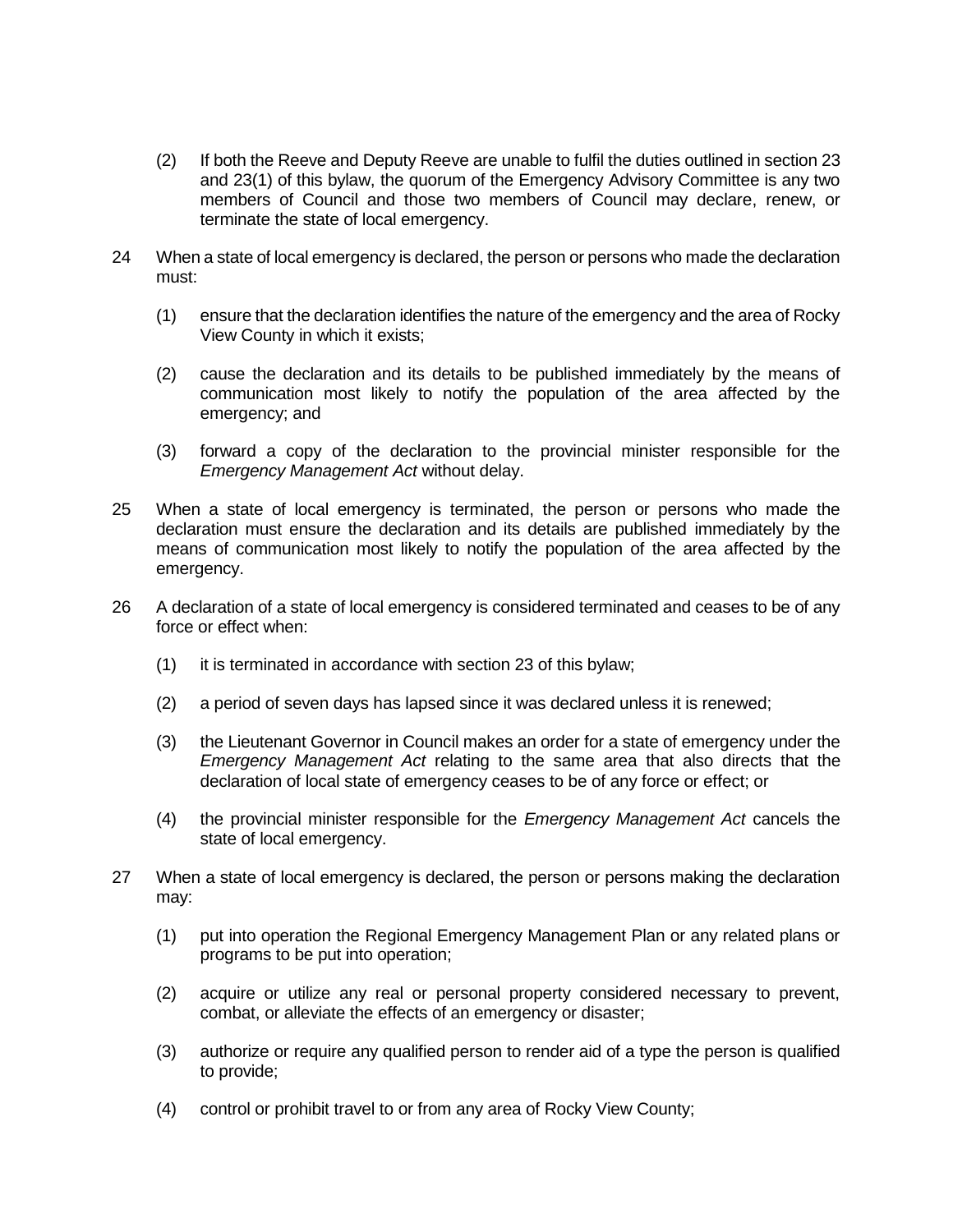- (2) If both the Reeve and Deputy Reeve are unable to fulfil the duties outlined in section 23 and 23(1) of this bylaw, the quorum of the Emergency Advisory Committee is any two members of Council and those two members of Council may declare, renew, or terminate the state of local emergency.
- 24 When a state of local emergency is declared, the person or persons who made the declaration must:
	- (1) ensure that the declaration identifies the nature of the emergency and the area of Rocky View County in which it exists;
	- (2) cause the declaration and its details to be published immediately by the means of communication most likely to notify the population of the area affected by the emergency; and
	- (3) forward a copy of the declaration to the provincial minister responsible for the *Emergency Management Act* without delay.
- 25 When a state of local emergency is terminated, the person or persons who made the declaration must ensure the declaration and its details are published immediately by the means of communication most likely to notify the population of the area affected by the emergency.
- 26 A declaration of a state of local emergency is considered terminated and ceases to be of any force or effect when:
	- (1) it is terminated in accordance with section 23 of this bylaw;
	- (2) a period of seven days has lapsed since it was declared unless it is renewed;
	- (3) the Lieutenant Governor in Council makes an order for a state of emergency under the *Emergency Management Act* relating to the same area that also directs that the declaration of local state of emergency ceases to be of any force or effect; or
	- (4) the provincial minister responsible for the *Emergency Management Act* cancels the state of local emergency.
- 27 When a state of local emergency is declared, the person or persons making the declaration may:
	- (1) put into operation the Regional Emergency Management Plan or any related plans or programs to be put into operation;
	- (2) acquire or utilize any real or personal property considered necessary to prevent, combat, or alleviate the effects of an emergency or disaster;
	- (3) authorize or require any qualified person to render aid of a type the person is qualified to provide;
	- (4) control or prohibit travel to or from any area of Rocky View County;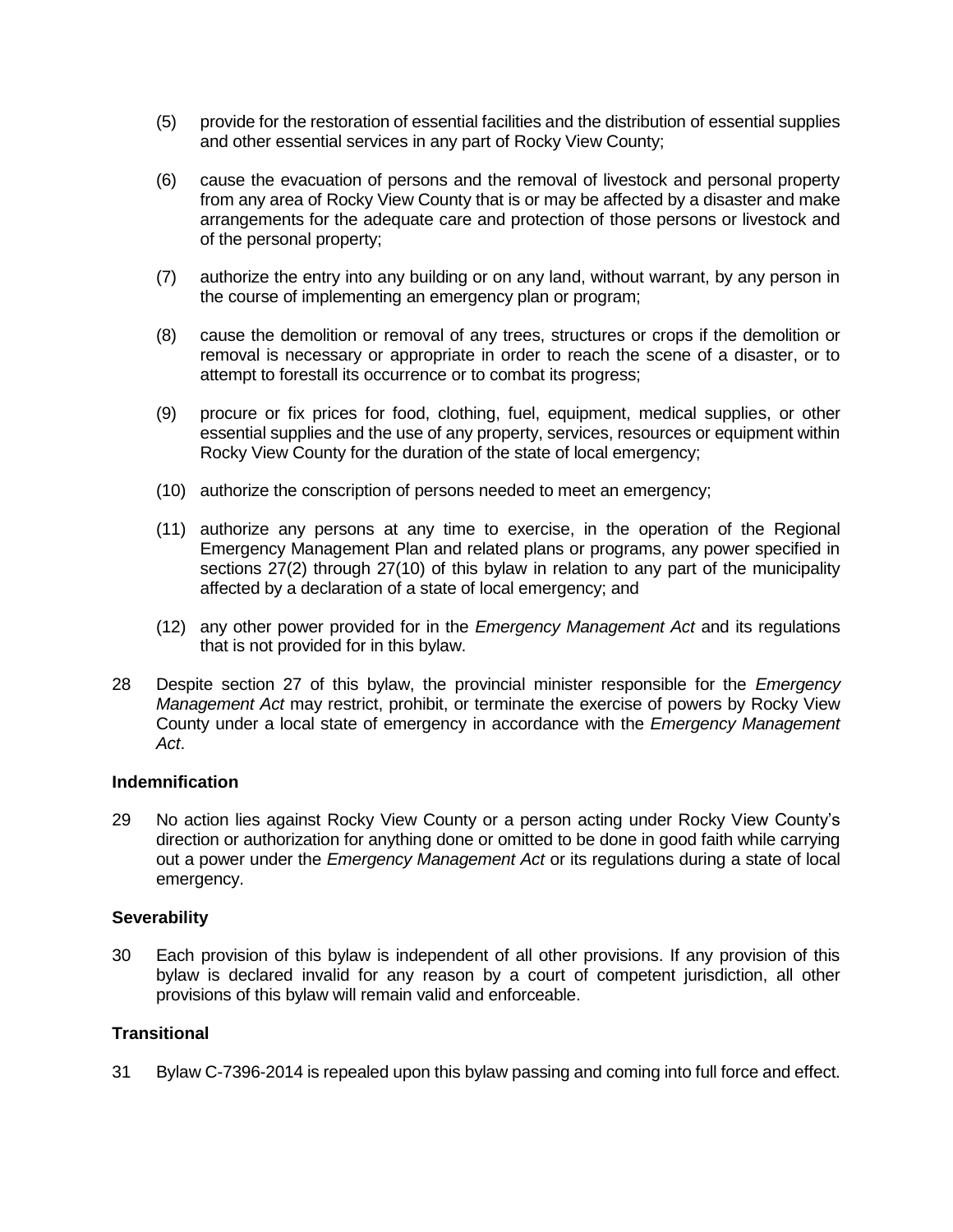- (5) provide for the restoration of essential facilities and the distribution of essential supplies and other essential services in any part of Rocky View County;
- (6) cause the evacuation of persons and the removal of livestock and personal property from any area of Rocky View County that is or may be affected by a disaster and make arrangements for the adequate care and protection of those persons or livestock and of the personal property;
- (7) authorize the entry into any building or on any land, without warrant, by any person in the course of implementing an emergency plan or program;
- (8) cause the demolition or removal of any trees, structures or crops if the demolition or removal is necessary or appropriate in order to reach the scene of a disaster, or to attempt to forestall its occurrence or to combat its progress;
- (9) procure or fix prices for food, clothing, fuel, equipment, medical supplies, or other essential supplies and the use of any property, services, resources or equipment within Rocky View County for the duration of the state of local emergency;
- (10) authorize the conscription of persons needed to meet an emergency;
- (11) authorize any persons at any time to exercise, in the operation of the Regional Emergency Management Plan and related plans or programs, any power specified in sections 27(2) through 27(10) of this bylaw in relation to any part of the municipality affected by a declaration of a state of local emergency; and
- (12) any other power provided for in the *Emergency Management Act* and its regulations that is not provided for in this bylaw.
- 28 Despite section 27 of this bylaw, the provincial minister responsible for the *Emergency Management Act* may restrict, prohibit, or terminate the exercise of powers by Rocky View County under a local state of emergency in accordance with the *Emergency Management Act*.

#### **Indemnification**

29 No action lies against Rocky View County or a person acting under Rocky View County's direction or authorization for anything done or omitted to be done in good faith while carrying out a power under the *Emergency Management Act* or its regulations during a state of local emergency.

# **Severability**

30 Each provision of this bylaw is independent of all other provisions. If any provision of this bylaw is declared invalid for any reason by a court of competent jurisdiction, all other provisions of this bylaw will remain valid and enforceable.

# **Transitional**

31 Bylaw C-7396-2014 is repealed upon this bylaw passing and coming into full force and effect.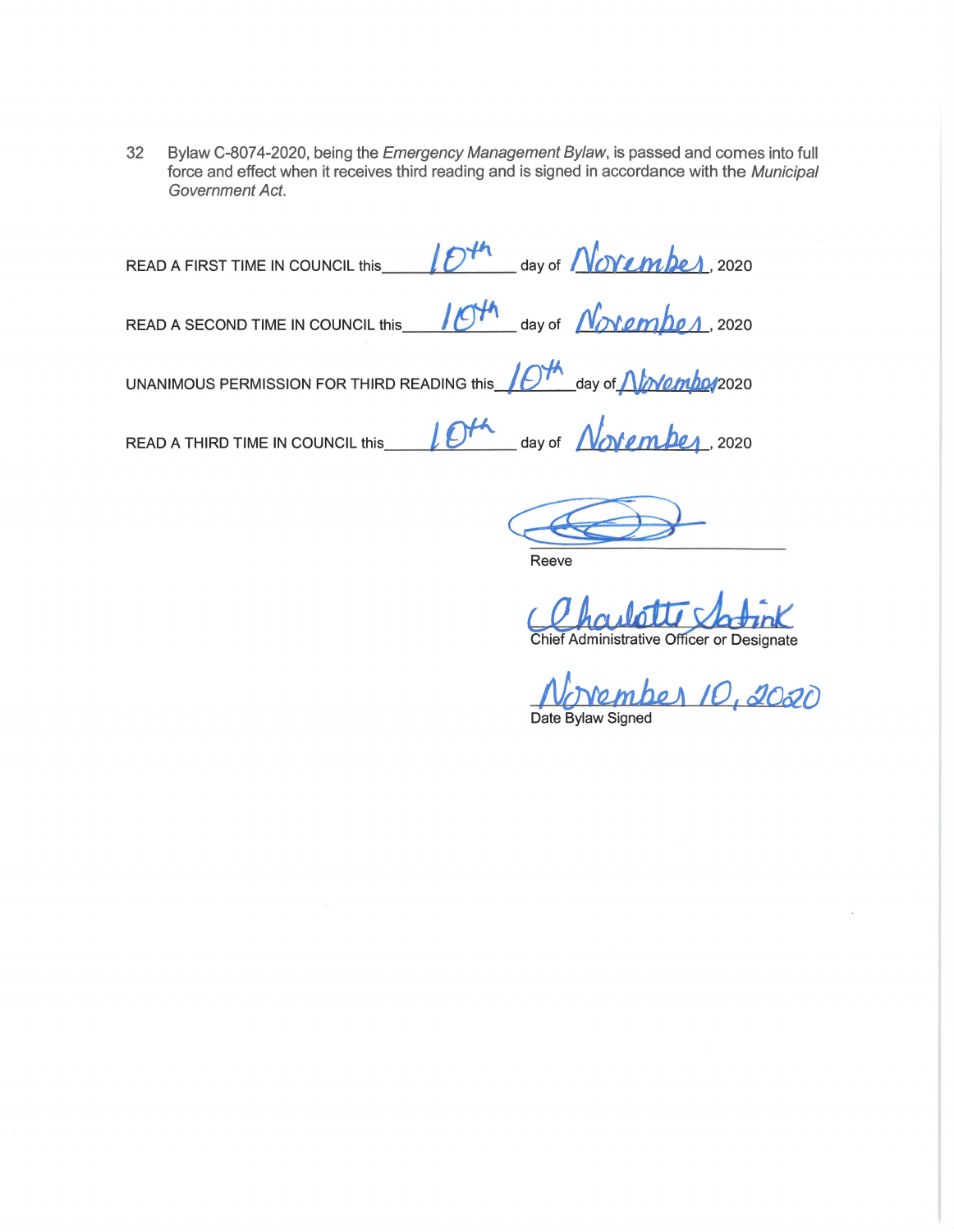32 Bylaw C-8074-2020, being the Emergency Management Bylaw, is passed and comes into full force and effect when it receives third reading and is signed in accordance with the Municipal Government Act.

READ A FIRST TIME IN COUNCIL this  $\sqrt{D^{th}}$  day of *No*vember 2020 READ A SECOND TIME IN COUNCIL this  $\frac{10^{44}}{4}$  day of  $\frac{N_{\text{N}}}{\text{m}}$   $\frac{1}{2020}$ UNANIMOUS PERMISSION FOR THIRD READING this  $\sqrt{O^{4A}}$  day of  $\Lambda/\gamma$  *and mbot* 2020 READ A THIRD TIME IN COUNCIL this  $\iint_{\text{Cov}} \mathbf{P} \cdot d\mathbf{r} \cdot d\mathbf{r} \cdot d\mathbf{r} \cdot d\mathbf{r} \cdot d\mathbf{r} \cdot d\mathbf{r} \cdot d\mathbf{r} \cdot d\mathbf{r} \cdot d\mathbf{r} \cdot d\mathbf{r} \cdot d\mathbf{r} \cdot d\mathbf{r} \cdot d\mathbf{r} \cdot d\mathbf{r} \cdot d\mathbf{r} \cdot d\mathbf{r} \cdot d\mathbf{r} \cdot d\mathbf{r} \cdot d\mathbf{r$ 

Reeve

Chief Administrative Officer or Designate

*/1.bwunhR* **A JO, <IIO&t)**  Date Bylaw Signed